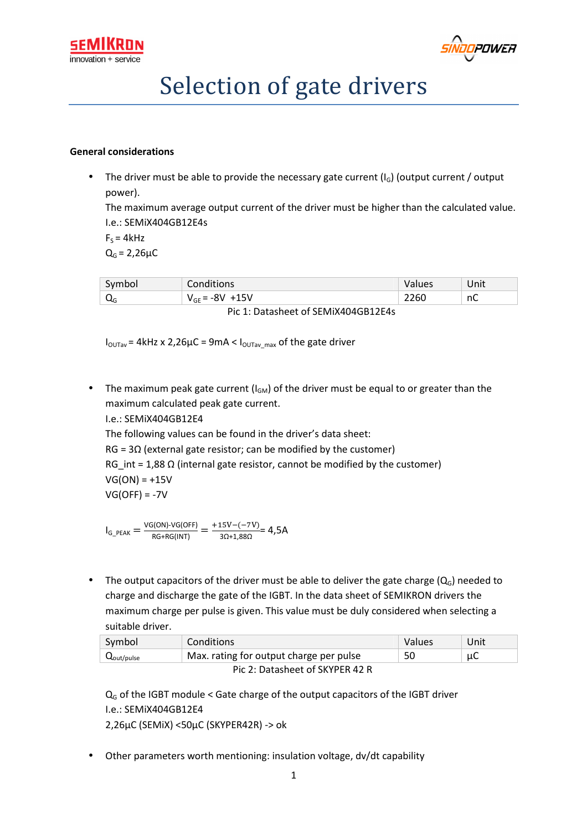



# Selection of gate drivers

#### **General considerations**

The driver must be able to provide the necessary gate current  $(I_G)$  (output current / output power).

The maximum average output current of the driver must be higher than the calculated value. I.e.: SEMiX404GB12E4s

 $F_s = 4kHz$  $Q_G = 2,26 \mu C$ 

| Symbol                                   | <b>Conditions</b>   | Values | 'Jnit |  |  |
|------------------------------------------|---------------------|--------|-------|--|--|
| ЧG                                       | $V_{GE}$ = -8V +15V | 2260   | nC    |  |  |
| $Di_{2}$ 1. Datasheet of CEMIVAOACD12EAs |                     |        |       |  |  |

Pic 1: Datasheet of SEMiX404GB12E4s

 $I_{\text{OUTav}}$  = 4kHz x 2,26 $\mu$ C = 9mA <  $I_{\text{OUTav}}$  max of the gate driver

• The maximum peak gate current  $(I_{GM})$  of the driver must be equal to or greater than the maximum calculated peak gate current.

I.e.: SEMiX404GB12E4

The following values can be found in the driver's data sheet:

RG =  $3\Omega$  (external gate resistor; can be modified by the customer) RG int = 1,88  $\Omega$  (internal gate resistor, cannot be modified by the customer)  $VG(ON) = +15V$ 

$$
VG(OFF) = -7V
$$

 $I_{G_PEAK} = \frac{VG(ON)\cdot VG(OFF)}{RG+RG(INT)} = \frac{+15V-(-7V)}{3\Omega+1,88\Omega} = 4,5A$ 

• The output capacitors of the driver must be able to deliver the gate charge  $(Q<sub>G</sub>)$  needed to charge and discharge the gate of the IGBT. In the data sheet of SEMIKRON drivers the maximum charge per pulse is given. This value must be duly considered when selecting a suitable driver.

| Symbol                          | Conditions                              | Values | Unit |  |  |  |  |
|---------------------------------|-----------------------------------------|--------|------|--|--|--|--|
| $Q_{\text{out/pulse}}$          | Max. rating for output charge per pulse | 50     | μC   |  |  |  |  |
| Pic 2: Datasheet of SKYPER 42 R |                                         |        |      |  |  |  |  |

 $Q_G$  of the IGBT module < Gate charge of the output capacitors of the IGBT driver I.e.: SEMiX404GB12E4 2,26µC (SEMiX) <50µC (SKYPER42R) -> ok

• Other parameters worth mentioning: insulation voltage, dv/dt capability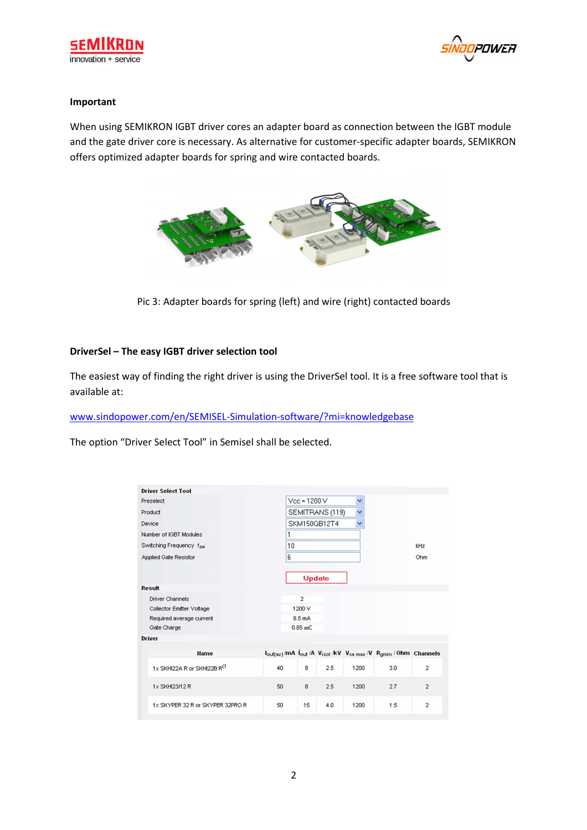



#### **Important**

When using SEMIKRON IGBT driver cores an adapter board as connection between the IGBT module and the gate driver core is necessary. As alternative for customer-specific adapter boards, SEMIKRON offers optimized adapter boards for spring and wire contacted boards.



Pic 3: Adapter boards for spring (left) and wire (right) contacted boards

## **DriverSel – The easy IGBT driver selection tool**

The easiest way of finding the right driver is using the DriverSel tool. It is a free software tool that is available at:

www.sindopower.com/en/SEMISEL-Simulation-software/?mi=knowledgebase

The option "Driver Select Tool" in Semisel shall be selected.

| <b>Driver Select Tool</b>               |    |                |                 |      |                                                               |                |  |
|-----------------------------------------|----|----------------|-----------------|------|---------------------------------------------------------------|----------------|--|
| Preselect                               |    | $Vec = 1200 V$ |                 | ×    |                                                               |                |  |
| Product                                 |    |                | SEMITRANS (119) | Y    |                                                               |                |  |
| Device                                  |    |                | SKM150GB12T4    | v    |                                                               |                |  |
| Number of IGBT Modules                  |    |                |                 |      |                                                               |                |  |
| Switching Frequency fsw                 | 10 |                |                 |      |                                                               |                |  |
| Applied Gate Resistor                   | 6  |                |                 |      |                                                               | Ohm            |  |
|                                         |    |                |                 |      |                                                               |                |  |
|                                         |    |                | <b>Update</b>   |      |                                                               |                |  |
| Result                                  |    |                |                 |      |                                                               |                |  |
| <b>Driver Channels</b>                  |    | $\overline{2}$ |                 |      |                                                               |                |  |
| Collector Emitter Voltage               |    | 1200 V         |                 |      |                                                               |                |  |
| Required average current                |    | 8.5 mA         |                 |      |                                                               |                |  |
| Gate Charge                             |    | $0.85$ mC      |                 |      |                                                               |                |  |
| <b>Driver</b>                           |    |                |                 |      |                                                               |                |  |
| <b>Hame</b>                             |    |                |                 |      | lout(av)/mA lout /A Visol /kV Vce max /V Rgmin / Ohm Channels |                |  |
| 1x SKHI22A R or SKHI22B R <sup>(1</sup> | 40 | 8              | 2.5             | 1200 | 3.0                                                           | $\overline{2}$ |  |
| 1x SKHI23/12 R                          | 50 | 8              | 2.5             | 1200 | 2.7                                                           | $\overline{a}$ |  |
| 1x SKYPER 32 R or SKYPER 32PRO R        | 50 | 15             | 4.0             | 1200 | 1.5                                                           | $\overline{2}$ |  |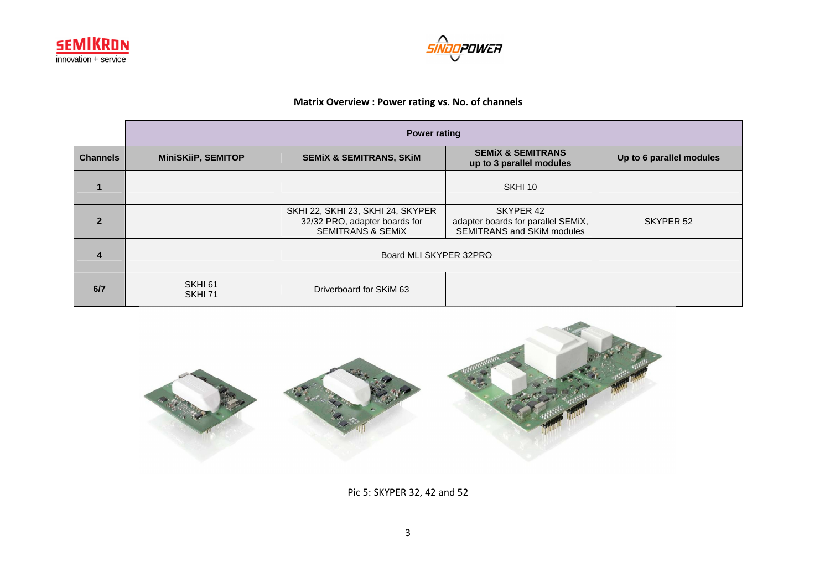



#### **Matrix Overview : Power rating vs. No. of channels**

|                 | <b>Power rating</b>           |                                                                                                    |                                                                               |                          |  |  |  |  |
|-----------------|-------------------------------|----------------------------------------------------------------------------------------------------|-------------------------------------------------------------------------------|--------------------------|--|--|--|--|
| <b>Channels</b> | <b>MiniSKiiP, SEMITOP</b>     | <b>SEMIX &amp; SEMITRANS, SKIM</b>                                                                 | <b>SEMIX &amp; SEMITRANS</b><br>up to 3 parallel modules                      | Up to 6 parallel modules |  |  |  |  |
|                 |                               |                                                                                                    | SKHI 10                                                                       |                          |  |  |  |  |
| $\overline{2}$  |                               | SKHI 22, SKHI 23, SKHI 24, SKYPER<br>32/32 PRO, adapter boards for<br><b>SEMITRANS &amp; SEMIX</b> | SKYPER 42<br>adapter boards for parallel SEMiX,<br>SEMITRANS and SKiM modules | SKYPER 52                |  |  |  |  |
| $\overline{4}$  |                               | Board MLI SKYPER 32PRO                                                                             |                                                                               |                          |  |  |  |  |
| 6/7             | SKHI <sub>61</sub><br>SKHI 71 | Driverboard for SKIM 63                                                                            |                                                                               |                          |  |  |  |  |



Pic 5: SKYPER 32, 42 and 52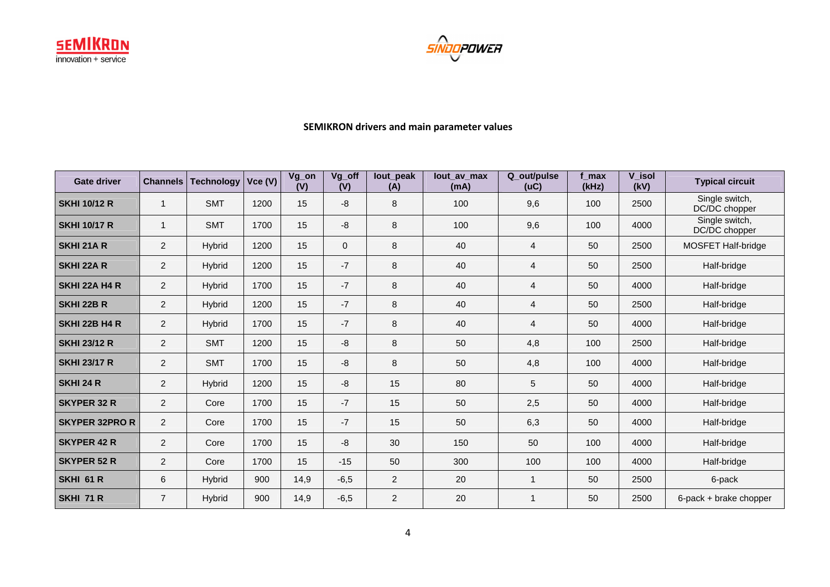



## **SEMIKRON drivers and main parameter values**

| <b>Gate driver</b>    | <b>Channels</b> | <b>Technology</b> | Vce(V) | Vg_on<br>(V) | Vg_off<br>(V) | lout_peak<br>(A) | lout av max<br>(mA) | Q_out/pulse<br>(UC) | f max<br>(kHz) | V_isol<br>(kV) | <b>Typical circuit</b>          |
|-----------------------|-----------------|-------------------|--------|--------------|---------------|------------------|---------------------|---------------------|----------------|----------------|---------------------------------|
| <b>SKHI 10/12 R</b>   | 1               | <b>SMT</b>        | 1200   | 15           | -8            | 8                | 100                 | 9,6                 | 100            | 2500           | Single switch,<br>DC/DC chopper |
| <b>SKHI 10/17 R</b>   | 1               | <b>SMT</b>        | 1700   | 15           | -8            | 8                | 100                 | 9,6                 | 100            | 4000           | Single switch,<br>DC/DC chopper |
| <b>SKHI 21A R</b>     | $\overline{2}$  | Hybrid            | 1200   | 15           | $\mathbf{0}$  | 8                | 40                  | $\overline{4}$      | 50             | 2500           | MOSFET Half-bridge              |
| <b>SKHI 22A R</b>     | $\overline{2}$  | Hybrid            | 1200   | 15           | $-7$          | 8                | 40                  | 4                   | 50             | 2500           | Half-bridge                     |
| <b>SKHI 22A H4 R</b>  | $\overline{2}$  | Hybrid            | 1700   | 15           | $-7$          | 8                | 40                  | $\overline{4}$      | 50             | 4000           | Half-bridge                     |
| <b>SKHI 22B R</b>     | $\overline{2}$  | <b>Hybrid</b>     | 1200   | 15           | $-7$          | 8                | 40                  | $\overline{4}$      | 50             | 2500           | Half-bridge                     |
| SKHI 22B H4 R         | $\overline{2}$  | <b>Hybrid</b>     | 1700   | 15           | $-7$          | 8                | 40                  | 4                   | 50             | 4000           | Half-bridge                     |
| <b>SKHI 23/12 R</b>   | $\overline{2}$  | <b>SMT</b>        | 1200   | 15           | -8            | 8                | 50                  | 4,8                 | 100            | 2500           | Half-bridge                     |
| <b>SKHI 23/17 R</b>   | $\overline{c}$  | <b>SMT</b>        | 1700   | 15           | -8            | 8                | 50                  | 4,8                 | 100            | 4000           | Half-bridge                     |
| SKHI 24 R             | $\overline{2}$  | Hybrid            | 1200   | 15           | -8            | 15               | 80                  | 5                   | 50             | 4000           | Half-bridge                     |
| <b>SKYPER 32 R</b>    | $\overline{2}$  | Core              | 1700   | 15           | $-7$          | 15               | 50                  | 2,5                 | 50             | 4000           | Half-bridge                     |
| <b>SKYPER 32PRO R</b> | $\overline{2}$  | Core              | 1700   | 15           | $-7$          | 15               | 50                  | 6,3                 | 50             | 4000           | Half-bridge                     |
| <b>SKYPER 42 R</b>    | $\overline{2}$  | Core              | 1700   | 15           | -8            | 30               | 150                 | 50                  | 100            | 4000           | Half-bridge                     |
| <b>SKYPER 52 R</b>    | $\overline{2}$  | Core              | 1700   | 15           | $-15$         | 50               | 300                 | 100                 | 100            | 4000           | Half-bridge                     |
| SKHI 61 R             | 6               | Hybrid            | 900    | 14,9         | $-6,5$        | 2                | 20                  | 1                   | 50             | 2500           | 6-pack                          |
| SKHI 71 R             | $\overline{7}$  | <b>Hybrid</b>     | 900    | 14,9         | $-6,5$        | $\overline{2}$   | 20                  |                     | 50             | 2500           | 6-pack + brake chopper          |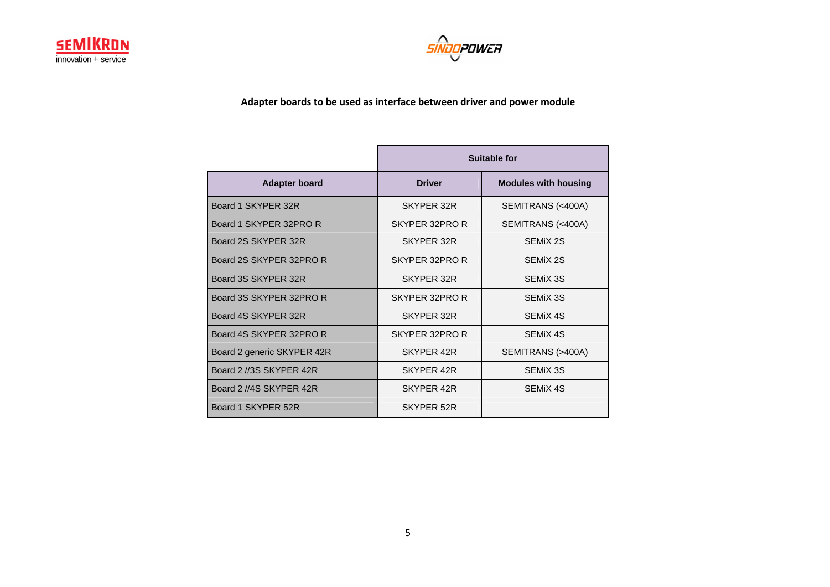



**Adapter boards to be used as interface between driver and power module** 

|                            | Suitable for   |                             |  |
|----------------------------|----------------|-----------------------------|--|
| <b>Adapter board</b>       | <b>Driver</b>  | <b>Modules with housing</b> |  |
| Board 1 SKYPER 32R         | SKYPER 32R     | SEMITRANS (<400A)           |  |
| Board 1 SKYPER 32PRO R     | SKYPER 32PRO R | SEMITRANS (<400A)           |  |
| Board 2S SKYPER 32R        | SKYPER 32R     | SEMIX 2S                    |  |
| Board 2S SKYPER 32PRO R    | SKYPER 32PRO R | SEMIX 2S                    |  |
| Board 3S SKYPER 32R        | SKYPER 32R     | SEMIX 3S                    |  |
| Board 3S SKYPER 32PRO R    | SKYPER 32PRO R | SEMIX 3S                    |  |
| Board 4S SKYPER 32R        | SKYPER 32R     | SEMIX 4S                    |  |
| Board 4S SKYPER 32PRO R    | SKYPER 32PRO R | SEMIX 4S                    |  |
| Board 2 generic SKYPER 42R | SKYPER 42R     | SEMITRANS (>400A)           |  |
| Board 2 //3S SKYPER 42R    | SKYPER 42R     | SEMIX 3S                    |  |
| Board 2 //4S SKYPER 42R    | SKYPER 42R     | SEMIX 4S                    |  |
| Board 1 SKYPER 52R         | SKYPER 52R     |                             |  |